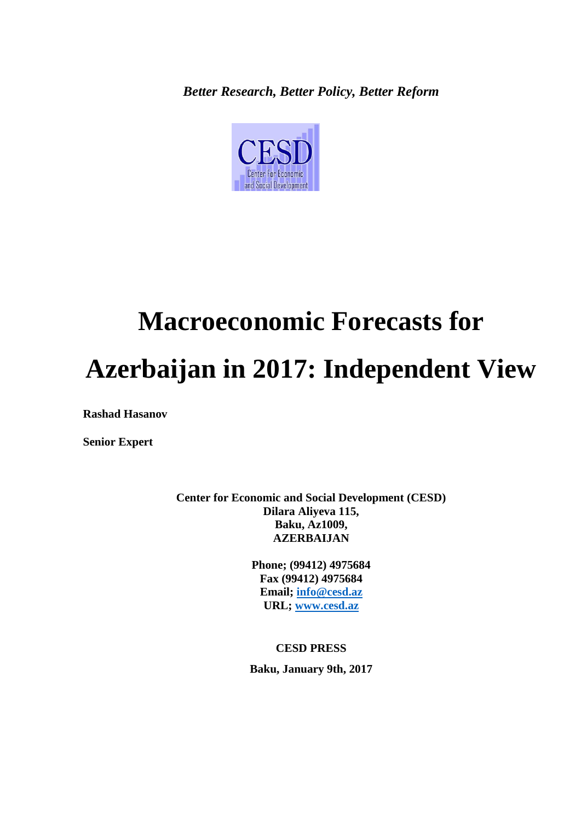*Better Research, Better Policy, Better Reform*



# **Macroeconomic Forecasts for Azerbaijan in 2017: Independent View**

**Rashad Hasanov**

**Senior Expert**

**Center for Economic and Social Development (CESD) Dilara Aliyeva 115, Baku, Az1009, AZERBAIJAN**

> **Phone; (99412) 4975684 Fax (99412) 4975684 Email; [info@cesd.az](mailto:info@cesd.az) URL; [www.cesd.az](http://www.cesd.az/)**

**CESD PRESS Baku, January 9th, 2017**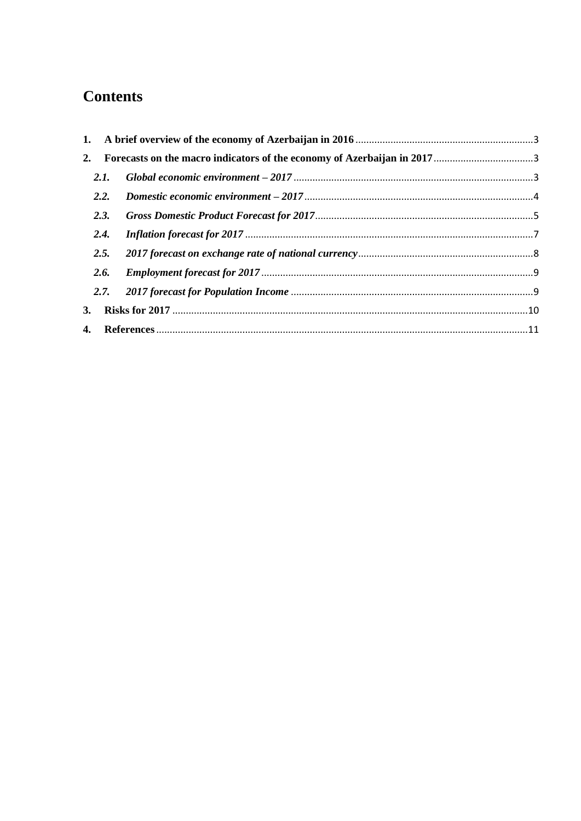## **Contents**

|    | 2.I. |  |
|----|------|--|
|    | 2.2. |  |
|    | 2.3. |  |
|    | 2.4. |  |
|    | 2.5. |  |
|    | 2.6. |  |
|    |      |  |
| 3. |      |  |
|    |      |  |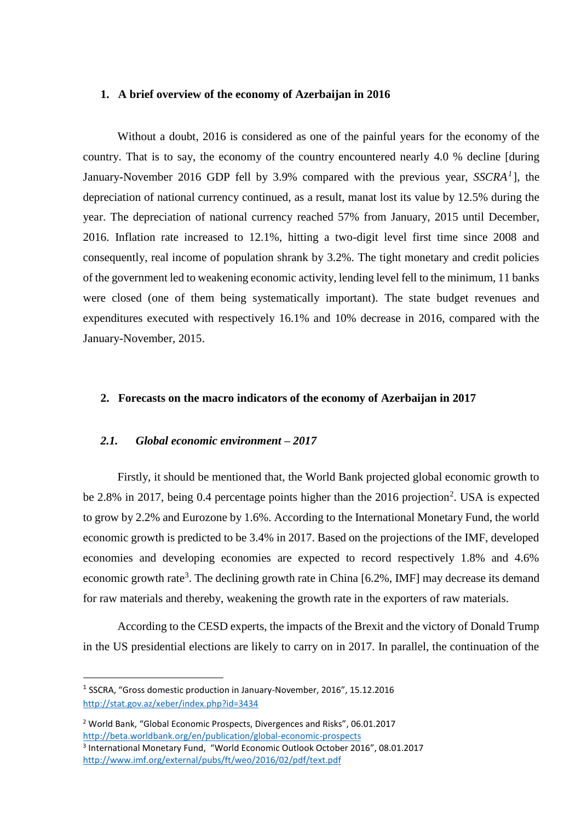#### <span id="page-2-0"></span>**1. A brief overview of the economy of Azerbaijan in 2016**

Without a doubt, 2016 is considered as one of the painful years for the economy of the country. That is to say, the economy of the country encountered nearly 4.0 % decline [during January-November 2016 GDP fell by 3.9% compared with the previous year, *SSCRA<sup>1</sup>* ], the depreciation of national currency continued, as a result, manat lost its value by 12.5% during the year. The depreciation of national currency reached 57% from January, 2015 until December, 2016. Inflation rate increased to 12.1%, hitting a two-digit level first time since 2008 and consequently, real income of population shrank by 3.2%. The tight monetary and credit policies of the government led to weakening economic activity, lending level fell to the minimum, 11 banks were closed (one of them being systematically important). The state budget revenues and expenditures executed with respectively 16.1% and 10% decrease in 2016, compared with the January-November, 2015.

#### <span id="page-2-1"></span>**2. Forecasts on the macro indicators of the economy of Azerbaijan in 2017**

#### <span id="page-2-2"></span>*2.1. Global economic environment – 2017*

Firstly, it should be mentioned that, the World Bank projected global economic growth to be 2.8% in 2017, being 0.4 percentage points higher than the 2016 projection<sup>2</sup>. USA is expected to grow by 2.2% and Eurozone by 1.6%. According to the International Monetary Fund, the world economic growth is predicted to be 3.4% in 2017. Based on the projections of the IMF, developed economies and developing economies are expected to record respectively 1.8% and 4.6% economic growth rate<sup>3</sup>. The declining growth rate in China  $[6.2\%$ , IMF] may decrease its demand for raw materials and thereby, weakening the growth rate in the exporters of raw materials.

According to the CESD experts, the impacts of the Brexit and the victory of Donald Trump in the US presidential elections are likely to carry on in 2017. In parallel, the continuation of the

**.** 

<sup>&</sup>lt;sup>1</sup> SSCRA, "Gross domestic production in January-November, 2016", 15.12.2016 <http://stat.gov.az/xeber/index.php?id=3434>

<sup>2</sup> World Bank, "Global Economic Prospects, Divergences and Risks", 06.01.2017 <http://beta.worldbank.org/en/publication/global-economic-prospects>

<sup>3</sup> International Monetary Fund, "World Economic Outlook October 2016", 08.01.2017 <http://www.imf.org/external/pubs/ft/weo/2016/02/pdf/text.pdf>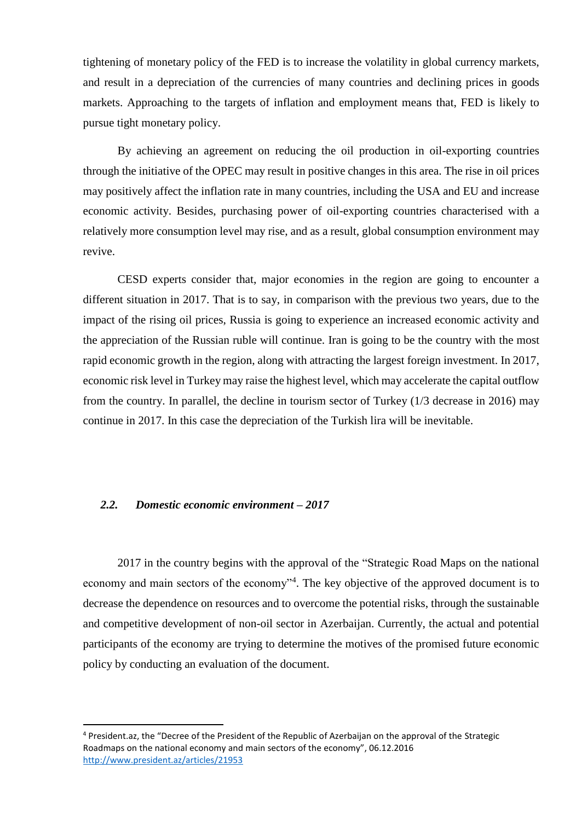tightening of monetary policy of the FED is to increase the volatility in global currency markets, and result in a depreciation of the currencies of many countries and declining prices in goods markets. Approaching to the targets of inflation and employment means that, FED is likely to pursue tight monetary policy.

By achieving an agreement on reducing the oil production in oil-exporting countries through the initiative of the OPEC may result in positive changes in this area. The rise in oil prices may positively affect the inflation rate in many countries, including the USA and EU and increase economic activity. Besides, purchasing power of oil-exporting countries characterised with a relatively more consumption level may rise, and as a result, global consumption environment may revive.

CESD experts consider that, major economies in the region are going to encounter a different situation in 2017. That is to say, in comparison with the previous two years, due to the impact of the rising oil prices, Russia is going to experience an increased economic activity and the appreciation of the Russian ruble will continue. Iran is going to be the country with the most rapid economic growth in the region, along with attracting the largest foreign investment. In 2017, economic risk level in Turkey may raise the highest level, which may accelerate the capital outflow from the country. In parallel, the decline in tourism sector of Turkey (1/3 decrease in 2016) may continue in 2017. In this case the depreciation of the Turkish lira will be inevitable.

#### <span id="page-3-0"></span>*2.2. Domestic economic environment – 2017*

1

2017 in the country begins with the approval of the "Strategic Road Maps on the national economy and main sectors of the economy<sup>34</sup>. The key objective of the approved document is to decrease the dependence on resources and to overcome the potential risks, through the sustainable and competitive development of non-oil sector in Azerbaijan. Currently, the actual and potential participants of the economy are trying to determine the motives of the promised future economic policy by conducting an evaluation of the document.

<sup>4</sup> President.az, the "Decree of the President of the Republic of Azerbaijan on the approval of the Strategic Roadmaps on the national economy and main sectors of the economy", 06.12.2016 <http://www.president.az/articles/21953>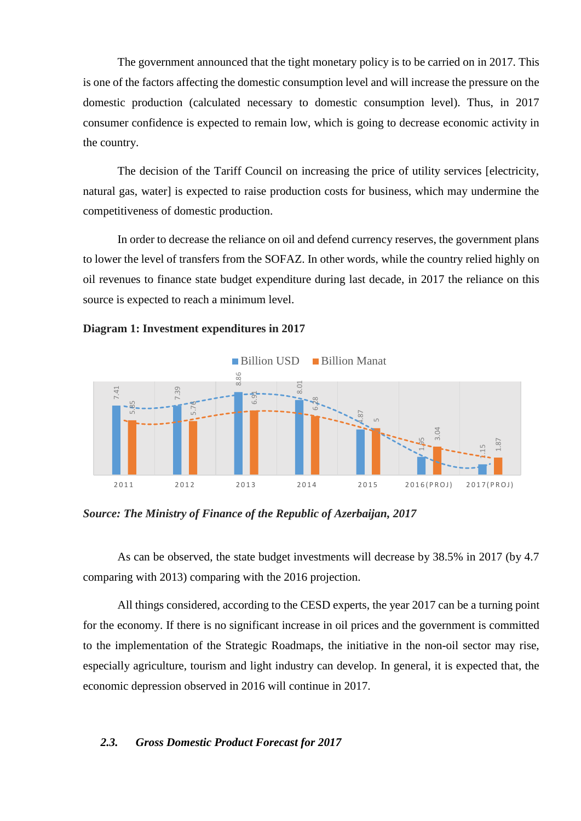The government announced that the tight monetary policy is to be carried on in 2017. This is one of the factors affecting the domestic consumption level and will increase the pressure on the domestic production (calculated necessary to domestic consumption level). Thus, in 2017 consumer confidence is expected to remain low, which is going to decrease economic activity in the country.

The decision of the Tariff Council on increasing the price of utility services [electricity, natural gas, water] is expected to raise production costs for business, which may undermine the competitiveness of domestic production.

In order to decrease the reliance on oil and defend currency reserves, the government plans to lower the level of transfers from the SOFAZ. In other words, while the country relied highly on oil revenues to finance state budget expenditure during last decade, in 2017 the reliance on this source is expected to reach a minimum level.

#### **Diagram 1: Investment expenditures in 2017**



*Source: The Ministry of Finance of the Republic of Azerbaijan, 2017*

As can be observed, the state budget investments will decrease by 38.5% in 2017 (by 4.7 comparing with 2013) comparing with the 2016 projection.

<span id="page-4-0"></span>All things considered, according to the CESD experts, the year 2017 can be a turning point for the economy. If there is no significant increase in oil prices and the government is committed to the implementation of the Strategic Roadmaps, the initiative in the non-oil sector may rise, especially agriculture, tourism and light industry can develop. In general, it is expected that, the economic depression observed in 2016 will continue in 2017.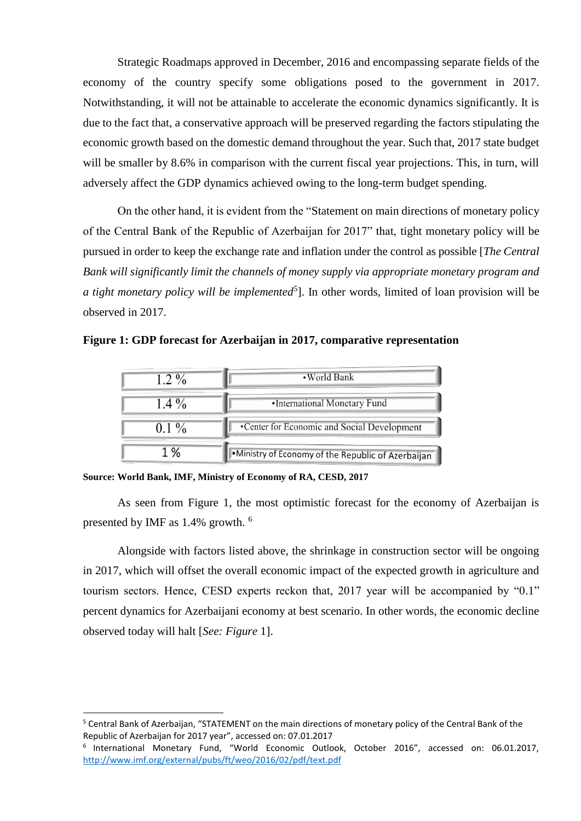Strategic Roadmaps approved in December, 2016 and encompassing separate fields of the economy of the country specify some obligations posed to the government in 2017. Notwithstanding, it will not be attainable to accelerate the economic dynamics significantly. It is due to the fact that, a conservative approach will be preserved regarding the factors stipulating the economic growth based on the domestic demand throughout the year. Such that, 2017 state budget will be smaller by 8.6% in comparison with the current fiscal year projections. This, in turn, will adversely affect the GDP dynamics achieved owing to the long-term budget spending.

On the other hand, it is evident from the "Statement on main directions of monetary policy of the Central Bank of the Republic of Azerbaijan for 2017" that, tight monetary policy will be pursued in order to keep the exchange rate and inflation under the control as possible [*The Central Bank will significantly limit the channels of money supply via appropriate monetary program and*  a tight monetary policy will be implemented<sup>5</sup>]. In other words, limited of loan provision will be observed in 2017.

**Figure 1: GDP forecast for Azerbaijan in 2017, comparative representation** 

| $1.2\%$ | •World Bank                                         |
|---------|-----------------------------------------------------|
| $1.4\%$ | •International Monetary Fund                        |
| $0.1\%$ | •Center for Economic and Social Development         |
| 1%      | . Ministry of Economy of the Republic of Azerbaijan |

**Source: World Bank, IMF, Ministry of Economy of RA, CESD, 2017**

**.** 

As seen from Figure 1, the most optimistic forecast for the economy of Azerbaijan is presented by IMF as 1.4% growth. <sup>6</sup>

Alongside with factors listed above, the shrinkage in construction sector will be ongoing in 2017, which will offset the overall economic impact of the expected growth in agriculture and tourism sectors. Hence, CESD experts reckon that, 2017 year will be accompanied by "0.1" percent dynamics for Azerbaijani economy at best scenario. In other words, the economic decline observed today will halt [*See: Figure* 1].

<sup>&</sup>lt;sup>5</sup> Central Bank of Azerbaijan, "STATEMENT on the main directions of monetary policy of the Central Bank of the Republic of Azerbaijan for 2017 year", accessed on: 07.01.2017

<sup>6</sup> International Monetary Fund, "World Economic Outlook, October 2016", accessed on: 06.01.2017, <http://www.imf.org/external/pubs/ft/weo/2016/02/pdf/text.pdf>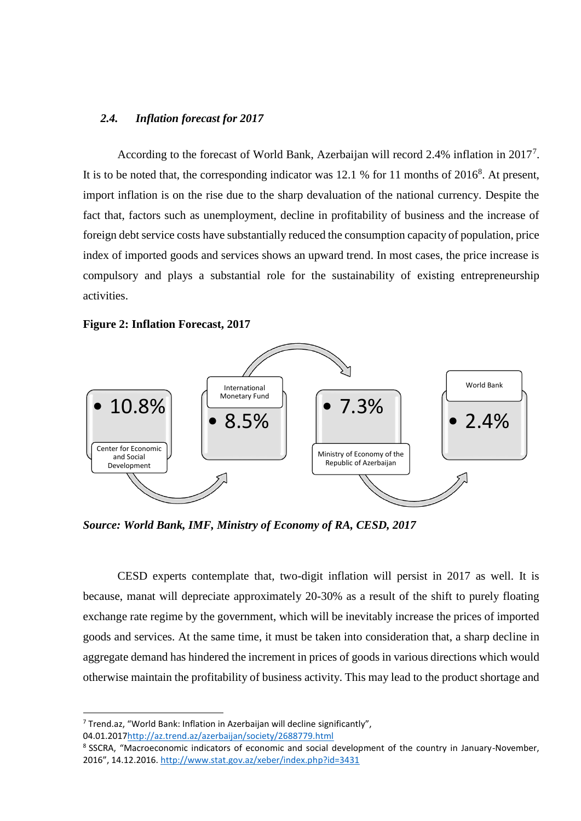#### <span id="page-6-0"></span>*2.4. Inflation forecast for 2017*

According to the forecast of World Bank, Azerbaijan will record 2.4% inflation in 2017<sup>7</sup>. It is to be noted that, the corresponding indicator was 12.1 % for 11 months of  $2016^8$ . At present, import inflation is on the rise due to the sharp devaluation of the national currency. Despite the fact that, factors such as unemployment, decline in profitability of business and the increase of foreign debt service costs have substantially reduced the consumption capacity of population, price index of imported goods and services shows an upward trend. In most cases, the price increase is compulsory and plays a substantial role for the sustainability of existing entrepreneurship activities.

#### **Figure 2: Inflation Forecast, 2017**



*Source: World Bank, IMF, Ministry of Economy of RA, CESD, 2017*

CESD experts contemplate that, two-digit inflation will persist in 2017 as well. It is because, manat will depreciate approximately 20-30% as a result of the shift to purely floating exchange rate regime by the government, which will be inevitably increase the prices of imported goods and services. At the same time, it must be taken into consideration that, a sharp decline in aggregate demand has hindered the increment in prices of goods in various directions which would otherwise maintain the profitability of business activity. This may lead to the product shortage and

04.01.201[7http://az.trend.az/azerbaijan/society/2688779.html](http://az.trend.az/azerbaijan/society/2688779.html)

**.** 

<sup>7</sup> Trend.az, "World Bank: Inflation in Azerbaijan will decline significantly",

<sup>&</sup>lt;sup>8</sup> SSCRA, "Macroeconomic indicators of economic and social development of the country in January-November, 2016", 14.12.2016. <http://www.stat.gov.az/xeber/index.php?id=3431>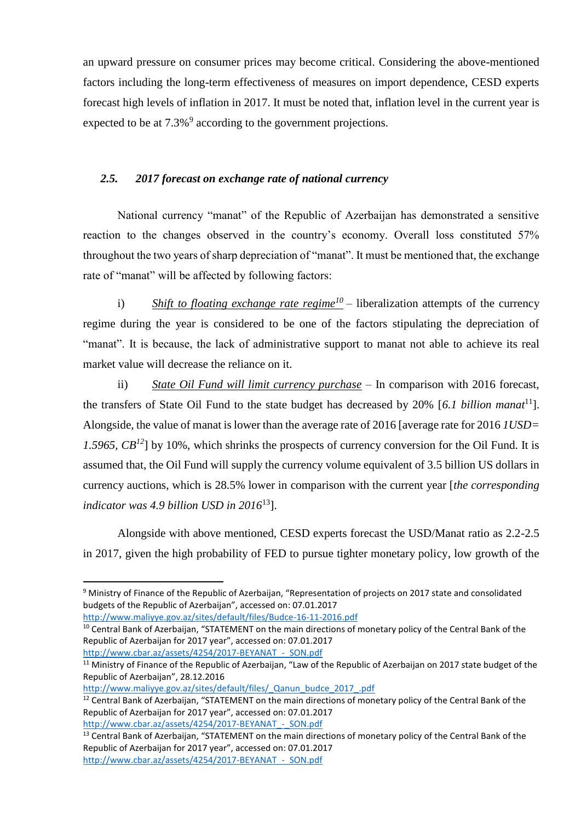an upward pressure on consumer prices may become critical. Considering the above-mentioned factors including the long-term effectiveness of measures on import dependence, CESD experts forecast high levels of inflation in 2017. It must be noted that, inflation level in the current year is expected to be at  $7.3\%$ <sup>9</sup> according to the government projections.

### <span id="page-7-0"></span>*2.5. 2017 forecast on exchange rate of national currency*

National currency "manat" of the Republic of Azerbaijan has demonstrated a sensitive reaction to the changes observed in the country's economy. Overall loss constituted 57% throughout the two years of sharp depreciation of "manat". It must be mentioned that, the exchange rate of "manat" will be affected by following factors:

i) Shift to floating exchange rate regime<sup>10</sup> – liberalization attempts of the currency regime during the year is considered to be one of the factors stipulating the depreciation of "manat". It is because, the lack of administrative support to manat not able to achieve its real market value will decrease the reliance on it.

ii) *State Oil Fund will limit currency purchase* – In comparison with 2016 forecast, the transfers of State Oil Fund to the state budget has decreased by 20% [*6.1 billion manat*<sup>11</sup>]. Alongside, the value of manat is lower than the average rate of 2016 [average rate for 2016 *1USD= 1.5965, CB<sup>12</sup>*] by 10%, which shrinks the prospects of currency conversion for the Oil Fund. It is assumed that, the Oil Fund will supply the currency volume equivalent of 3.5 billion US dollars in currency auctions, which is 28.5% lower in comparison with the current year [*the corresponding indicator was 4.9 billion USD in 2016*<sup>13</sup>].

Alongside with above mentioned, CESD experts forecast the USD/Manat ratio as 2.2-2.5 in 2017, given the high probability of FED to pursue tighter monetary policy, low growth of the

<http://www.maliyye.gov.az/sites/default/files/Budce-16-11-2016.pdf>

**.** 

<sup>10</sup> Central Bank of Azerbaijan, "STATEMENT on the main directions of monetary policy of the Central Bank of the Republic of Azerbaijan for 2017 year", accessed on: 07.01.2017 http://www.cbar.az/assets/4254/2017-BEYANAT - SON.pdf

[http://www.maliyye.gov.az/sites/default/files/\\_Qanun\\_budce\\_2017\\_.pdf](http://www.maliyye.gov.az/sites/default/files/_Qanun_budce_2017_.pdf)

<sup>9</sup> Ministry of Finance of the Republic of Azerbaijan, "Representation of projects on 2017 state and consolidated budgets of the Republic of Azerbaijan", accessed on: 07.01.2017

<sup>&</sup>lt;sup>11</sup> Ministry of Finance of the Republic of Azerbaijan, "Law of the Republic of Azerbaijan on 2017 state budget of the Republic of Azerbaijan", 28.12.2016

<sup>&</sup>lt;sup>12</sup> Central Bank of Azerbaijan, "STATEMENT on the main directions of monetary policy of the Central Bank of the Republic of Azerbaijan for 2017 year", accessed on: 07.01.2017 http://www.cbar.az/assets/4254/2017-BEYANAT - SON.pdf

<sup>&</sup>lt;sup>13</sup> Central Bank of Azerbaijan, "STATEMENT on the main directions of monetary policy of the Central Bank of the Republic of Azerbaijan for 2017 year", accessed on: 07.01.2017 http://www.cbar.az/assets/4254/2017-BEYANAT - SON.pdf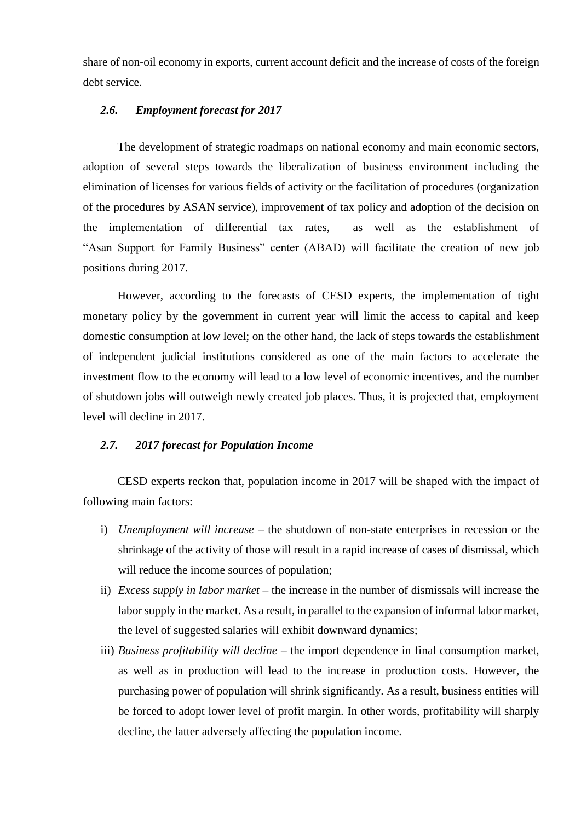share of non-oil economy in exports, current account deficit and the increase of costs of the foreign debt service.

#### <span id="page-8-0"></span>*2.6. Employment forecast for 2017*

The development of strategic roadmaps on national economy and main economic sectors, adoption of several steps towards the liberalization of business environment including the elimination of licenses for various fields of activity or the facilitation of procedures (organization of the procedures by ASAN service), improvement of tax policy and adoption of the decision on the implementation of differential tax rates, as well as the establishment of "Asan Support for Family Business" center (ABAD) will facilitate the creation of new job positions during 2017.

However, according to the forecasts of CESD experts, the implementation of tight monetary policy by the government in current year will limit the access to capital and keep domestic consumption at low level; on the other hand, the lack of steps towards the establishment of independent judicial institutions considered as one of the main factors to accelerate the investment flow to the economy will lead to a low level of economic incentives, and the number of shutdown jobs will outweigh newly created job places. Thus, it is projected that, employment level will decline in 2017.

#### <span id="page-8-1"></span>*2.7. 2017 forecast for Population Income*

CESD experts reckon that, population income in 2017 will be shaped with the impact of following main factors:

- i) *Unemployment will increase*  the shutdown of non-state enterprises in recession or the shrinkage of the activity of those will result in a rapid increase of cases of dismissal, which will reduce the income sources of population;
- ii) *Excess supply in labor market* the increase in the number of dismissals will increase the labor supply in the market. As a result, in parallel to the expansion of informal labor market, the level of suggested salaries will exhibit downward dynamics;
- iii) *Business profitability will decline* the import dependence in final consumption market, as well as in production will lead to the increase in production costs. However, the purchasing power of population will shrink significantly. As a result, business entities will be forced to adopt lower level of profit margin. In other words, profitability will sharply decline, the latter adversely affecting the population income.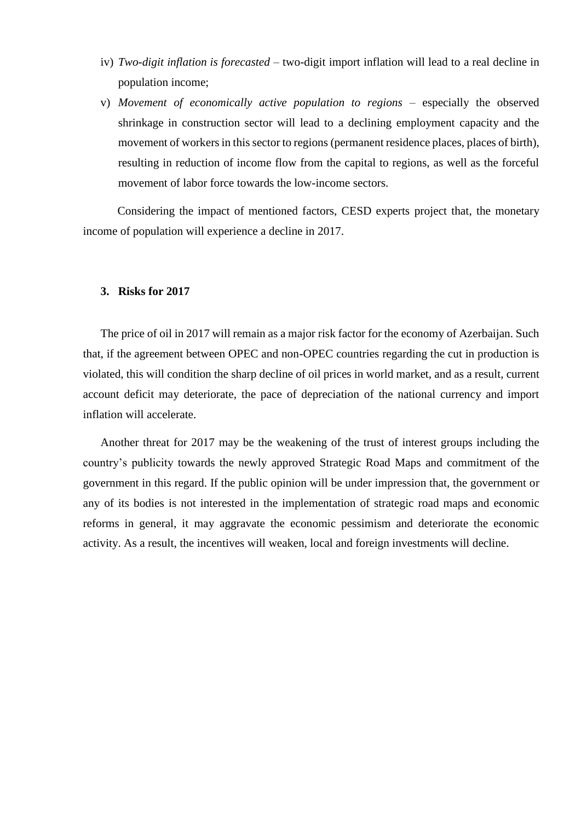- iv) *Two-digit inflation is forecasted* two-digit import inflation will lead to a real decline in population income;
- v) *Movement of economically active population to regions*  especially the observed shrinkage in construction sector will lead to a declining employment capacity and the movement of workers in this sector to regions (permanent residence places, places of birth), resulting in reduction of income flow from the capital to regions, as well as the forceful movement of labor force towards the low-income sectors.

Considering the impact of mentioned factors, CESD experts project that, the monetary income of population will experience a decline in 2017.

#### <span id="page-9-0"></span>**3. Risks for 2017**

The price of oil in 2017 will remain as a major risk factor for the economy of Azerbaijan. Such that, if the agreement between OPEC and non-OPEC countries regarding the cut in production is violated, this will condition the sharp decline of oil prices in world market, and as a result, current account deficit may deteriorate, the pace of depreciation of the national currency and import inflation will accelerate.

Another threat for 2017 may be the weakening of the trust of interest groups including the country's publicity towards the newly approved Strategic Road Maps and commitment of the government in this regard. If the public opinion will be under impression that, the government or any of its bodies is not interested in the implementation of strategic road maps and economic reforms in general, it may aggravate the economic pessimism and deteriorate the economic activity. As a result, the incentives will weaken, local and foreign investments will decline.